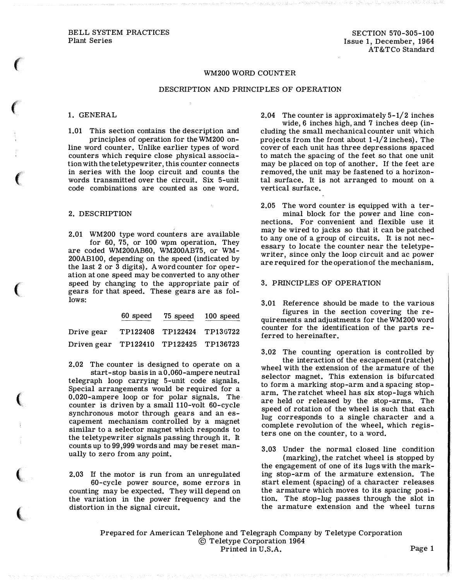# WM200 WORD COUNTER

### DESCRIPTION AND PRINCIPLES OF OPERATION

### 1. GENERAL

 $\epsilon$ 

 $\epsilon$ 

 $\epsilon$ 

 $\big($ 

 $\big($ 

 $\big($ 

 $\big($ 

1.01 This section contains the description and principles of operation for the WM200 online word counter. Unlike earlier types of word counters which require close physical association with the teletypewriter, this counter connects in series with the loop circuit and counts the words transmitted over the circuit. Six 5-unit code combinations are counted as one word.

### 2. DESCRIPTION

2.01 WM200 type word counters are available for 60, 75, or 100 wpm operation. They are coded WM200AB60, WM200AB75, or WM-200AB100, depending on the speed (indicated by the last 2 or 3 digits). A word counter for operation at one speed may be converted to any other speed by changing to the appropriate pair of gears for that speed. These gears are as follows:

|                                        | 60 speed | 75 speed                   | 100 speed |
|----------------------------------------|----------|----------------------------|-----------|
| Drive gear                             |          | TP122408 TP122424 TP136722 |           |
| Driven gear TP122410 TP122425 TP136723 |          |                            |           |

2.02 The counter is designed to operate on a

start-stop basis in a 0.060-ampere neutral telegraph loop carrying 5-unit code signals. Special arrangements would be required for a 0.020-ampere loop or for polar signals. The· counter is driven by a small 110-volt 60-cycle synchronous motor through gears and an escapement mechanism controlled by a magnet similar to a selector magnet which responds to the teletypewriter signals passing through it. It counts up to 99,999 words and may be reset manually to zero from any point.

2.03 If the motor is run from an unregulated 60-cycle power source, some errors in counting may be expected. They will depend on the variation in the power frequency and the distortion in the signal circuit.

2.04 The counter is approximately 5-1/2 inches

wide, 6 inches high, and 7 inches deep (including the small mechanical counter unit which projects from the front about 1-1/2 inches). The cover of each unit has three depressions spaced to match the spacing of the feet so that one unit may be placed on top of another. If the feet are removed, the unit may be fastened to a horizontal surface. It is not arranged to mount on a vertical surface.

2.05 The word counter is equipped with a terminal block for the power and line connections. For convenient and flexible use it may be wired to jacks so that it can be patched to any one of a group of circuits. It is not necessary to locate the counter near the teletypewriter, since only the loop circuit and ac power are required for the operation of the mechanism.

# 3. PRINCIPLES OF OPERATION

3.01 Reference should be made to the various figures in the section covering the requirements and adjustments for the WM200 word counter for the identification of the parts referred to hereinafter.

3.02 The counting operation is controlled by the interaction of the escapement (ratchet) wheel with the extension of the armature of the selector magnet. This extension is bifurcated to form a marking stop-arm and a spacing stoparm. The ratchet wheel has six stop-lugs which are held or released by the stop-arms. The speed of rotation of the wheel is such that each lug corresponds to a single character and a complete revolution of the wheel, which registers one on the counter, to a word.

3.03 Under the normal closed line condition (marking), the ratchet wheel is stopped by the engagement of one of its lugs with the marking stop-arm of the armature extension. The start element (spacing) of a character releases the armature which moves to its spacing position. The stop-lug passes through the slot in the armature extension and the wheel turns

Prepared for American Telephone and Telegraph Company by Teletype Corporation © Teletype Corporation 1964 Printed in U.S.A. Page 1